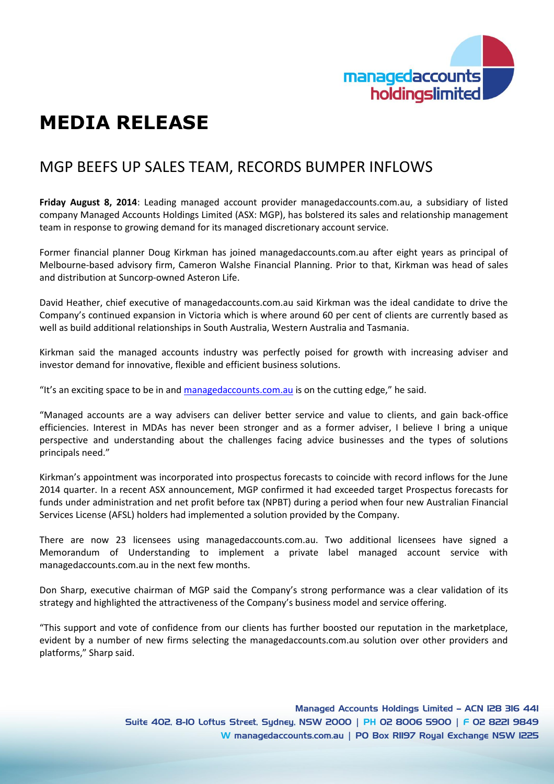

## **MEDIA RELEASE**

## MGP BEEFS UP SALES TEAM, RECORDS BUMPER INFLOWS

**Friday August 8, 2014**: Leading managed account provider managedaccounts.com.au, a subsidiary of listed company Managed Accounts Holdings Limited (ASX: MGP), has bolstered its sales and relationship management team in response to growing demand for its managed discretionary account service.

Former financial planner Doug Kirkman has joined managedaccounts.com.au after eight years as principal of Melbourne-based advisory firm, Cameron Walshe Financial Planning. Prior to that, Kirkman was head of sales and distribution at Suncorp-owned Asteron Life.

David Heather, chief executive of managedaccounts.com.au said Kirkman was the ideal candidate to drive the Company's continued expansion in Victoria which is where around 60 per cent of clients are currently based as well as build additional relationships in South Australia, Western Australia and Tasmania.

Kirkman said the managed accounts industry was perfectly poised for growth with increasing adviser and investor demand for innovative, flexible and efficient business solutions.

"It's an exciting space to be in and [managedaccounts.com.au](http://www.managedaccounts.com.au/) is on the cutting edge," he said.

"Managed accounts are a way advisers can deliver better service and value to clients, and gain back-office efficiencies. Interest in MDAs has never been stronger and as a former adviser, I believe I bring a unique perspective and understanding about the challenges facing advice businesses and the types of solutions principals need."

Kirkman's appointment was incorporated into prospectus forecasts to coincide with record inflows for the June 2014 quarter. In a recent ASX announcement, MGP confirmed it had exceeded target Prospectus forecasts for funds under administration and net profit before tax (NPBT) during a period when four new Australian Financial Services License (AFSL) holders had implemented a solution provided by the Company.

There are now 23 licensees using managedaccounts.com.au. Two additional licensees have signed a Memorandum of Understanding to implement a private label managed account service with managedaccounts.com.au in the next few months.

Don Sharp, executive chairman of MGP said the Company's strong performance was a clear validation of its strategy and highlighted the attractiveness of the Company's business model and service offering.

"This support and vote of confidence from our clients has further boosted our reputation in the marketplace, evident by a number of new firms selecting the managedaccounts.com.au solution over other providers and platforms," Sharp said.

> Managed Accounts Holdings Limited - ACN I28 316 441 Suite 402, 8-10 Loftus Street, Sydney, NSW 2000 | PH 02 8006 5900 | F 02 8221 9849 W managedaccounts.com.au | PO Box RII97 Royal Exchange NSW I225